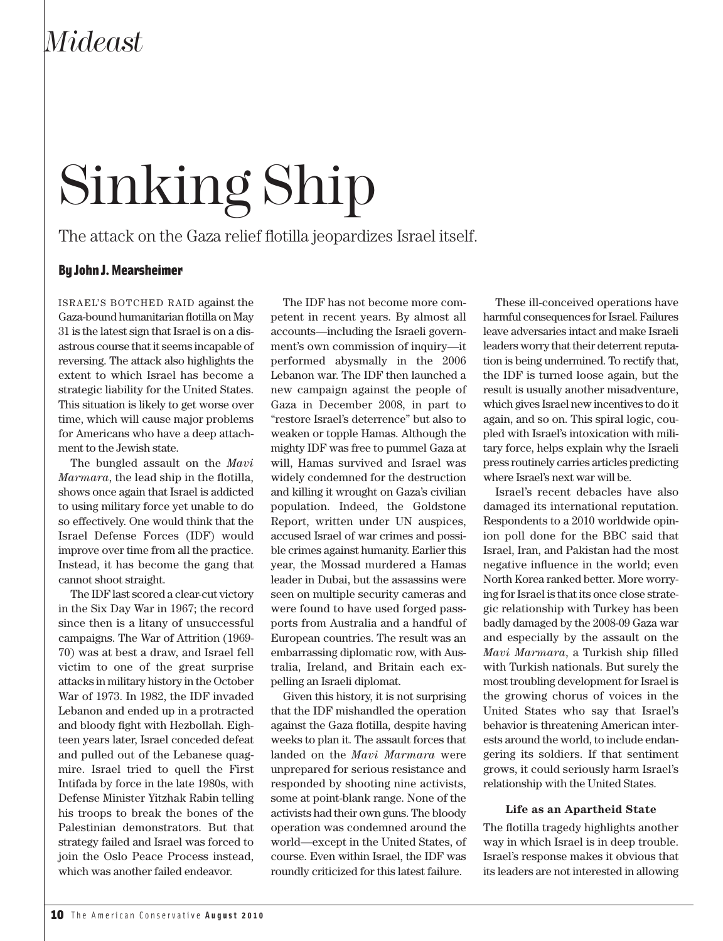# *Mideast*

# Sinking Ship

The attack on the Gaza relief flotilla jeopardizes Israel itself.

## By John J. Mearsheimer

ISRAEL'S BOTCHED RAID against the Gaza-bound humanitarian flotilla on May 31 is the latest sign that Israel is on a disastrous course that it seems incapable of reversing. The attack also highlights the extent to which Israel has become a strategic liability for the United States. This situation is likely to get worse over time, which will cause major problems for Americans who have a deep attachment to the Jewish state.

The bungled assault on the *Mavi Marmara*, the lead ship in the flotilla, shows once again that Israel is addicted to using military force yet unable to do so effectively. One would think that the Israel Defense Forces (IDF) would improve over time from all the practice. Instead, it has become the gang that cannot shoot straight.

The IDF last scored a clear-cut victory in the Six Day War in 1967; the record since then is a litany of unsuccessful campaigns. The War of Attrition (1969- 70) was at best a draw, and Israel fell victim to one of the great surprise attacks in military history in the October War of 1973. In 1982, the IDF invaded Lebanon and ended up in a protracted and bloody fight with Hezbollah. Eighteen years later, Israel conceded defeat and pulled out of the Lebanese quagmire. Israel tried to quell the First Intifada by force in the late 1980s, with Defense Minister Yitzhak Rabin telling his troops to break the bones of the Palestinian demonstrators. But that strategy failed and Israel was forced to join the Oslo Peace Process instead, which was another failed endeavor.

The IDF has not become more competent in recent years. By almost all accounts—including the Israeli government's own commission of inquiry—it performed abysmally in the 2006 Lebanon war. The IDF then launched a new campaign against the people of Gaza in December 2008, in part to "restore Israel's deterrence" but also to weaken or topple Hamas. Although the mighty IDF was free to pummel Gaza at will, Hamas survived and Israel was widely condemned for the destruction and killing it wrought on Gaza's civilian population. Indeed, the Goldstone Report, written under UN auspices, accused Israel of war crimes and possible crimes against humanity. Earlier this year, the Mossad murdered a Hamas leader in Dubai, but the assassins were seen on multiple security cameras and were found to have used forged passports from Australia and a handful of European countries. The result was an embarrassing diplomatic row, with Australia, Ireland, and Britain each expelling an Israeli diplomat.

Given this history, it is not surprising that the IDF mishandled the operation against the Gaza flotilla, despite having weeks to plan it. The assault forces that landed on the *Mavi Marmara* were unprepared for serious resistance and responded by shooting nine activists, some at point-blank range. None of the activists had their own guns. The bloody operation was condemned around the world—except in the United States, of course. Even within Israel, the IDF was roundly criticized for this latest failure.

These ill-conceived operations have harmful consequences for Israel. Failures leave adversaries intact and make Israeli leaders worry that their deterrent reputation is being undermined. To rectify that, the IDF is turned loose again, but the result is usually another misadventure, which gives Israel new incentives to do it again, and so on. This spiral logic, coupled with Israel's intoxication with military force, helps explain why the Israeli press routinely carries articles predicting where Israel's next war will be.

Israel's recent debacles have also damaged its international reputation. Respondents to a 2010 worldwide opinion poll done for the BBC said that Israel, Iran, and Pakistan had the most negative influence in the world; even North Korea ranked better. More worrying for Israel is that its once close strategic relationship with Turkey has been badly damaged by the 2008-09 Gaza war and especially by the assault on the *Mavi Marmara*, a Turkish ship filled with Turkish nationals. But surely the most troubling development for Israel is the growing chorus of voices in the United States who say that Israel's behavior is threatening American interests around the world, to include endangering its soldiers. If that sentiment grows, it could seriously harm Israel's relationship with the United States.

### **Life as an Apartheid State**

The flotilla tragedy highlights another way in which Israel is in deep trouble. Israel's response makes it obvious that its leaders are not interested in allowing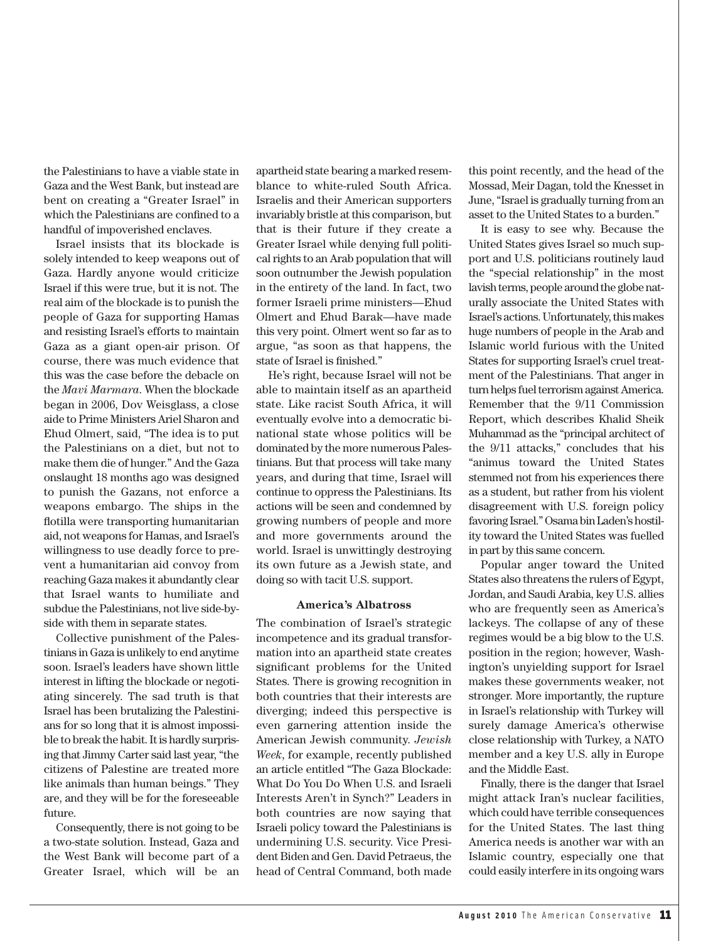the Palestinians to have a viable state in Gaza and the West Bank, but instead are bent on creating a "Greater Israel" in which the Palestinians are confined to a handful of impoverished enclaves.

Israel insists that its blockade is solely intended to keep weapons out of Gaza. Hardly anyone would criticize Israel if this were true, but it is not. The real aim of the blockade is to punish the people of Gaza for supporting Hamas and resisting Israel's efforts to maintain Gaza as a giant open-air prison. Of course, there was much evidence that this was the case before the debacle on the *Mavi Marmara*. When the blockade began in 2006, Dov Weisglass, a close aide to Prime Ministers Ariel Sharon and Ehud Olmert, said, "The idea is to put the Palestinians on a diet, but not to make them die of hunger." And the Gaza onslaught 18 months ago was designed to punish the Gazans, not enforce a weapons embargo. The ships in the flotilla were transporting humanitarian aid, not weapons for Hamas, and Israel's willingness to use deadly force to prevent a humanitarian aid convoy from reaching Gaza makes it abundantly clear that Israel wants to humiliate and subdue the Palestinians, not live side-byside with them in separate states.

Collective punishment of the Palestinians in Gaza is unlikely to end anytime soon. Israel's leaders have shown little interest in lifting the blockade or negotiating sincerely. The sad truth is that Israel has been brutalizing the Palestinians for so long that it is almost impossible to break the habit. It is hardly surprising that Jimmy Carter said last year, "the citizens of Palestine are treated more like animals than human beings." They are, and they will be for the foreseeable future.

Consequently, there is not going to be a two-state solution. Instead, Gaza and the West Bank will become part of a Greater Israel, which will be an

apartheid state bearing a marked resemblance to white-ruled South Africa. Israelis and their American supporters invariably bristle at this comparison, but that is their future if they create a Greater Israel while denying full political rights to an Arab population that will soon outnumber the Jewish population in the entirety of the land. In fact, two former Israeli prime ministers—Ehud Olmert and Ehud Barak—have made this very point. Olmert went so far as to argue, "as soon as that happens, the state of Israel is finished."

He's right, because Israel will not be able to maintain itself as an apartheid state. Like racist South Africa, it will eventually evolve into a democratic binational state whose politics will be dominated by the more numerous Palestinians. But that process will take many years, and during that time, Israel will continue to oppress the Palestinians. Its actions will be seen and condemned by growing numbers of people and more and more governments around the world. Israel is unwittingly destroying its own future as a Jewish state, and doing so with tacit U.S. support.

#### **America's Albatross**

The combination of Israel's strategic incompetence and its gradual transformation into an apartheid state creates significant problems for the United States. There is growing recognition in both countries that their interests are diverging; indeed this perspective is even garnering attention inside the American Jewish community. *Jewish Week*, for example, recently published an article entitled "The Gaza Blockade: What Do You Do When U.S. and Israeli Interests Aren't in Synch?" Leaders in both countries are now saying that Israeli policy toward the Palestinians is undermining U.S. security. Vice President Biden and Gen. David Petraeus, the head of Central Command, both made this point recently, and the head of the Mossad, Meir Dagan, told the Knesset in June, "Israel is gradually turning from an asset to the United States to a burden."

It is easy to see why. Because the United States gives Israel so much support and U.S. politicians routinely laud the "special relationship" in the most lavish terms, people around the globe naturally associate the United States with Israel's actions. Unfortunately, this makes huge numbers of people in the Arab and Islamic world furious with the United States for supporting Israel's cruel treatment of the Palestinians. That anger in turn helps fuel terrorism against America. Remember that the 9/11 Commission Report, which describes Khalid Sheik Muhammad as the "principal architect of the 9/11 attacks," concludes that his "animus toward the United States stemmed not from his experiences there as a student, but rather from his violent disagreement with U.S. foreign policy favoring Israel." Osama bin Laden's hostility toward the United States was fuelled in part by this same concern.

Popular anger toward the United States also threatens the rulers of Egypt, Jordan, and Saudi Arabia, key U.S. allies who are frequently seen as America's lackeys. The collapse of any of these regimes would be a big blow to the U.S. position in the region; however, Washington's unyielding support for Israel makes these governments weaker, not stronger. More importantly, the rupture in Israel's relationship with Turkey will surely damage America's otherwise close relationship with Turkey, a NATO member and a key U.S. ally in Europe and the Middle East.

Finally, there is the danger that Israel might attack Iran's nuclear facilities, which could have terrible consequences for the United States. The last thing America needs is another war with an Islamic country, especially one that could easily interfere in its ongoing wars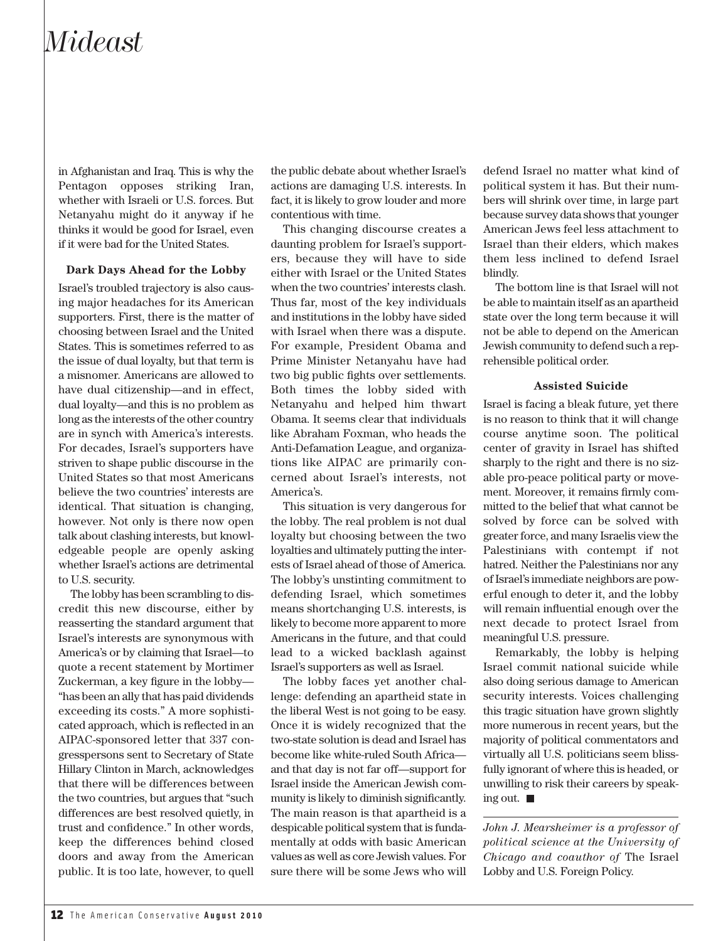## *Mideast*

in Afghanistan and Iraq. This is why the Pentagon opposes striking Iran, whether with Israeli or U.S. forces. But Netanyahu might do it anyway if he thinks it would be good for Israel, even if it were bad for the United States.

#### **Dark Days Ahead for the Lobby**

Israel's troubled trajectory is also causing major headaches for its American supporters. First, there is the matter of choosing between Israel and the United States. This is sometimes referred to as the issue of dual loyalty, but that term is a misnomer. Americans are allowed to have dual citizenship—and in effect, dual loyalty—and this is no problem as long as the interests of the other country are in synch with America's interests. For decades, Israel's supporters have striven to shape public discourse in the United States so that most Americans believe the two countries' interests are identical. That situation is changing, however. Not only is there now open talk about clashing interests, but knowledgeable people are openly asking whether Israel's actions are detrimental to U.S. security.

The lobby has been scrambling to discredit this new discourse, either by reasserting the standard argument that Israel's interests are synonymous with America's or by claiming that Israel—to quote a recent statement by Mortimer Zuckerman, a key figure in the lobby— "has been an ally that has paid dividends exceeding its costs." A more sophisticated approach, which is reflected in an AIPAC-sponsored letter that 337 congresspersons sent to Secretary of State Hillary Clinton in March, acknowledges that there will be differences between the two countries, but argues that "such differences are best resolved quietly, in trust and confidence." In other words, keep the differences behind closed doors and away from the American public. It is too late, however, to quell

the public debate about whether Israel's actions are damaging U.S. interests. In fact, it is likely to grow louder and more contentious with time.

This changing discourse creates a daunting problem for Israel's supporters, because they will have to side either with Israel or the United States when the two countries' interests clash. Thus far, most of the key individuals and institutions in the lobby have sided with Israel when there was a dispute. For example, President Obama and Prime Minister Netanyahu have had two big public fights over settlements. Both times the lobby sided with Netanyahu and helped him thwart Obama. It seems clear that individuals like Abraham Foxman, who heads the Anti-Defamation League, and organizations like AIPAC are primarily concerned about Israel's interests, not America's.

This situation is very dangerous for the lobby. The real problem is not dual loyalty but choosing between the two loyalties and ultimately putting the interests of Israel ahead of those of America. The lobby's unstinting commitment to defending Israel, which sometimes means shortchanging U.S. interests, is likely to become more apparent to more Americans in the future, and that could lead to a wicked backlash against Israel's supporters as well as Israel.

The lobby faces yet another challenge: defending an apartheid state in the liberal West is not going to be easy. Once it is widely recognized that the two-state solution is dead and Israel has become like white-ruled South Africa and that day is not far off—support for Israel inside the American Jewish community is likely to diminish significantly. The main reason is that apartheid is a despicable political system that is fundamentally at odds with basic American values as well as core Jewish values. For sure there will be some Jews who will defend Israel no matter what kind of political system it has. But their numbers will shrink over time, in large part because survey data shows that younger American Jews feel less attachment to Israel than their elders, which makes them less inclined to defend Israel blindly.

The bottom line is that Israel will not be able to maintain itself as an apartheid state over the long term because it will not be able to depend on the American Jewish community to defend such a reprehensible political order.

#### **Assisted Suicide**

Israel is facing a bleak future, yet there is no reason to think that it will change course anytime soon. The political center of gravity in Israel has shifted sharply to the right and there is no sizable pro-peace political party or movement. Moreover, it remains firmly committed to the belief that what cannot be solved by force can be solved with greater force, and many Israelis view the Palestinians with contempt if not hatred. Neither the Palestinians nor any of Israel's immediate neighbors are powerful enough to deter it, and the lobby will remain influential enough over the next decade to protect Israel from meaningful U.S. pressure.

Remarkably, the lobby is helping Israel commit national suicide while also doing serious damage to American security interests. Voices challenging this tragic situation have grown slightly more numerous in recent years, but the majority of political commentators and virtually all U.S. politicians seem blissfully ignorant of where this is headed, or unwilling to risk their careers by speaking out.

*John J. Mearsheimer is a professor of political science at the University of Chicago and coauthor of* The Israel Lobby and U.S. Foreign Policy.